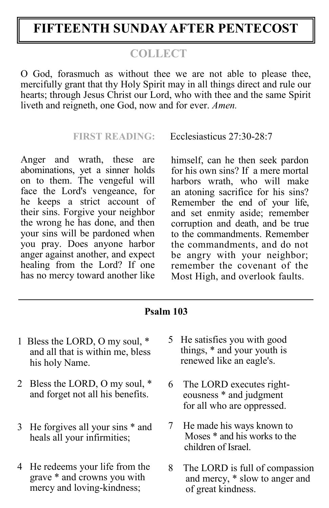# **FIFTEENTH SUNDAY AFTER PENTECOST**

## **COLLECT**

O God, forasmuch as without thee we are not able to please thee, mercifully grant that thy Holy Spirit may in all things direct and rule our hearts; through Jesus Christ our Lord, who with thee and the same Spirit liveth and reigneth, one God, now and for ever. *Amen.*

Anger and wrath, these are abominations, yet a sinner holds on to them. The vengeful will face the Lord's vengeance, for he keeps a strict account of their sins. Forgive your neighbor the wrong he has done, and then your sins will be pardoned when you pray. Does anyone harbor anger against another, and expect healing from the Lord? If one has no mercy toward another like

 **FIRST READING:** Ecclesiasticus 27:30-28:7

himself, can he then seek pardon for his own sins? If a mere mortal harbors wrath, who will make an atoning sacrifice for his sins? Remember the end of your life, and set enmity aside; remember corruption and death, and be true to the commandments. Remember the commandments, and do not be angry with your neighbor; remember the covenant of the Most High, and overlook faults.

#### **Psalm 103**

- 1 Bless the LORD, O my soul, \* and all that is within me, bless his holy Name.
- 2 Bless the LORD, O my soul, \* and forget not all his benefits.
- 3 He forgives all your sins \* and heals all your infirmities;
- 4 He redeems your life from the grave \* and crowns you with mercy and loving-kindness;
- 5 He satisfies you with good things, \* and your youth is renewed like an eagle's.
- 6 The LORD executes right eousness \* and judgment for all who are oppressed.
- 7 He made his ways known to Moses \* and his works to the children of Israel.
- 8 The LORD is full of compassion and mercy, \* slow to anger and of great kindness.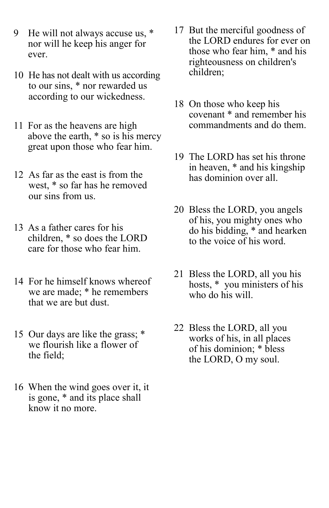- 9 He will not always accuse us, \* nor will he keep his anger for ever.
- 10 He has not dealt with us according to our sins, \* nor rewarded us according to our wickedness.
- 11 For as the heavens are high above the earth, \* so is his mercy great upon those who fear him.
- 12 As far as the east is from the west, \* so far has he removed our sins from us.
- 13 As a father cares for his children, \* so does the LORD care for those who fear him.
- 14 For he himself knows whereof we are made; \* he remembers that we are but dust.
- 15 Our days are like the grass; \* we flourish like a flower of the field;
- 16 When the wind goes over it, it is gone, \* and its place shall know it no more.
- 17 But the merciful goodness of the LORD endures for ever on those who fear him, \* and his righteousness on children's children;
- 18 On those who keep his covenant \* and remember his commandments and do them.
- 19 The LORD has set his throne in heaven, \* and his kingship has dominion over all.
- 20 Bless the LORD, you angels of his, you mighty ones who do his bidding, \* and hearken to the voice of his word.
- 21 Bless the LORD, all you his hosts, \* you ministers of his who do his will.
- 22 Bless the LORD, all you works of his, in all places of his dominion; \* bless the LORD, O my soul.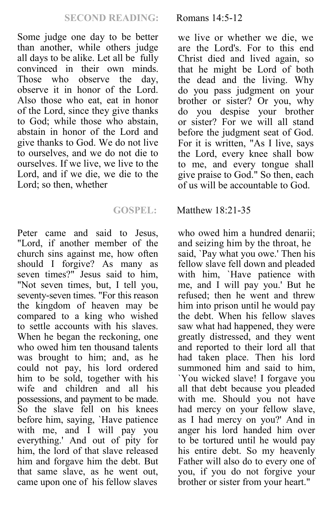Some judge one day to be better than another, while others judge all days to be alike. Let all be fully convinced in their own minds. Those who observe the day, observe it in honor of the Lord. Also those who eat, eat in honor of the Lord, since they give thanks to God; while those who abstain, abstain in honor of the Lord and give thanks to God. We do not live to ourselves, and we do not die to ourselves. If we live, we live to the Lord, and if we die, we die to the Lord; so then, whether

Peter came and said to Jesus, "Lord, if another member of the church sins against me, how often should I forgive? As many as seven times?" Jesus said to him, "Not seven times, but, I tell you, seventy-seven times. "For this reason the kingdom of heaven may be compared to a king who wished to settle accounts with his slaves. When he began the reckoning, one who owed him ten thousand talents was brought to him; and, as he could not pay, his lord ordered him to be sold, together with his wife and children and all his possessions, and payment to be made. So the slave fell on his knees before him, saying, `Have patience with me, and I will pay you everything.' And out of pity for him, the lord of that slave released him and forgave him the debt. But that same slave, as he went out, came upon one of his fellow slaves

we live or whether we die, we are the Lord's. For to this end Christ died and lived again, so that he might be Lord of both the dead and the living. Why do you pass judgment on your brother or sister? Or you, why do you despise your brother or sister? For we will all stand before the judgment seat of God. For it is written, "As I live, says the Lord, every knee shall bow to me, and every tongue shall give praise to God." So then, each of us will be accountable to God.

### **GOSPEL:** Matthew 18:21-35

who owed him a hundred denarii; and seizing him by the throat, he said, `Pay what you owe.' Then his fellow slave fell down and pleaded with him, `Have patience with me, and I will pay you.' But he refused; then he went and threw him into prison until he would pay the debt. When his fellow slaves saw what had happened, they were greatly distressed, and they went and reported to their lord all that had taken place. Then his lord summoned him and said to him, `You wicked slave! I forgave you all that debt because you pleaded with me. Should you not have had mercy on your fellow slave, as I had mercy on you?' And in anger his lord handed him over to be tortured until he would pay his entire debt. So my heavenly Father will also do to every one of you, if you do not forgive your brother or sister from your heart."